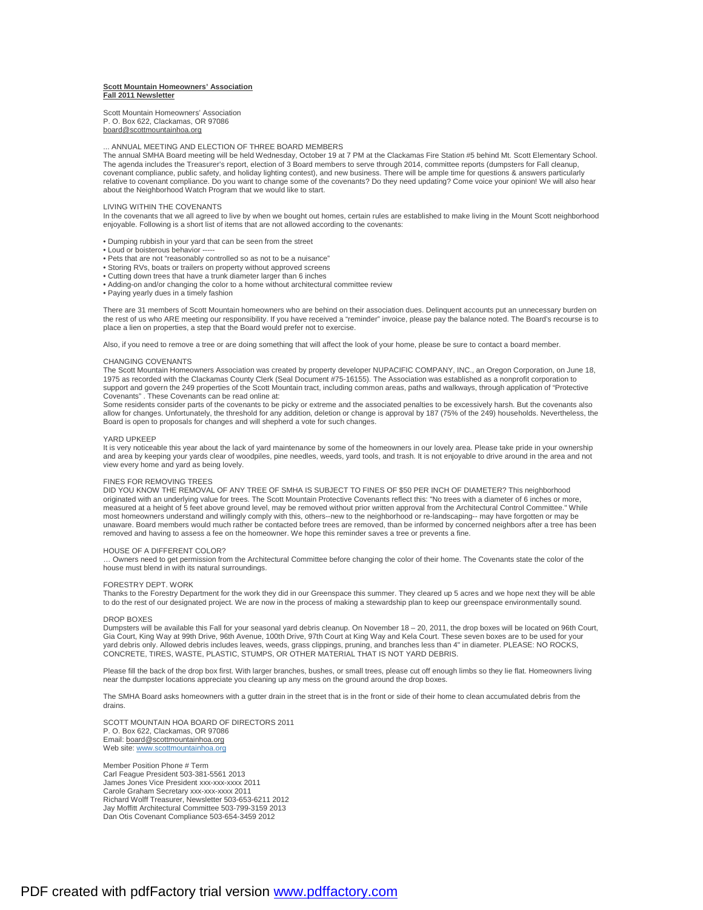## **Scott Mountain Homeowners' Association Fall 2011 Newsletter**

Scott Mountain Homeowners' Association P. O. Box 622, Clackamas, OR 97086 [board@scottmountainhoa.org](mailto:board@scottmountainhoa.org)

### ... ANNUAL MEETING AND ELECTION OF THREE BOARD MEMBERS

The annual SMHA Board meeting will be held Wednesday, October 19 at 7 PM at the Clackamas Fire Station #5 behind Mt. Scott Elementary School. The agenda includes the Treasurer's report, election of 3 Board members to serve through 2014, committee reports (dumpsters for Fall cleanup, covenant compliance, public safety, and holiday lighting contest), and new business. There will be ample time for questions & answers particularly relative to covenant compliance. Do you want to change some of the covenants? Do they need updating? Come voice your opinion! We will also hear about the Neighborhood Watch Program that we would like to start.

## LIVING WITHIN THE COVENANTS

In the covenants that we all agreed to live by when we bought out homes, certain rules are established to make living in the Mount Scott neighborhood enjoyable. Following is a short list of items that are not allowed according to the covenants:

- Dumping rubbish in your yard that can be seen from the street
- Loud or boisterous behavior -
- Pets that are not "reasonably controlled so as not to be a nuisance"
- Storing RVs, boats or trailers on property without approved screens
- Cutting down trees that have a trunk diameter larger than 6 inches • Adding-on and/or changing the color to a home without architectural committee review
- Paying yearly dues in a timely fashion

There are 31 members of Scott Mountain homeowners who are behind on their association dues. Delinquent accounts put an unnecessary burden on the rest of us who ARE meeting our responsibility. If you have received a "reminder" invoice, please pay the balance noted. The Board's recourse is to place a lien on properties, a step that the Board would prefer not to exercise.

Also, if you need to remove a tree or are doing something that will affect the look of your home, please be sure to contact a board member.

#### CHANGING COVENANTS

The Scott Mountain Homeowners Association was created by property developer NUPACIFIC COMPANY, INC., an Oregon Corporation, on June 18, 1975 as recorded with the Clackamas County Clerk (Seal Document #75-16155). The Association was established as a nonprofit corporation to support and govern the 249 properties of the Scott Mountain tract, including common areas, paths and walkways, through application of "Protective Covenants" . These Covenants can be read online at:

Some residents consider parts of the covenants to be picky or extreme and the associated penalties to be excessively harsh. But the covenants also allow for changes. Unfortunately, the threshold for any addition, deletion or change is approval by 187 (75% of the 249) households. Nevertheless, the Board is open to proposals for changes and will shepherd a vote for such changes.

#### YARD UPKEEP

It is very noticeable this year about the lack of yard maintenance by some of the homeowners in our lovely area. Please take pride in your ownership and area by keeping your yards clear of woodpiles, pine needles, weeds, yard tools, and trash. It is not enjoyable to drive around in the area and not view every home and yard as being lovely.

### FINES FOR REMOVING TREES

DID YOU KNOW THE REMOVAL OF ANY TREE OF SMHA IS SUBJECT TO FINES OF \$50 PER INCH OF DIAMETER? This neighborhood originated with an underlying value for trees. The Scott Mountain Protective Covenants reflect this: "No trees with a diameter of 6 inches or more,<br>measured at a height of 5 feet above ground level, may be removed without most homeowners understand and willingly comply with this, others--new to the neighborhood or re-landscaping-- may have forgotten or may be unaware. Board members would much rather be contacted before trees are removed, than be informed by concerned neighbors after a tree has been removed and having to assess a fee on the homeowner. We hope this reminder saves a tree or prevents a fine.

# HOUSE OF A DIFFERENT COLOR?

… Owners need to get permission from the Architectural Committee before changing the color of their home. The Covenants state the color of the house must blend in with its natural surroundings.

#### FORESTRY DEPT. WORK

Thanks to the Forestry Department for the work they did in our Greenspace this summer. They cleared up 5 acres and we hope next they will be able to do the rest of our designated project. We are now in the process of making a stewardship plan to keep our greenspace environmentally sound.

## DROP BOXES

Dumpsters will be available this Fall for your seasonal yard debris cleanup. On November 18 – 20, 2011, the drop boxes will be located on 96th Court, Gia Court, King Way at 99th Drive, 96th Avenue, 100th Drive, 97th Court at King Way and Kela Court. These seven boxes are to be used for your yard debris only. Allowed debris includes leaves, weeds, grass clippings, pruning, and branches less than 4" in diameter. PLEASE: NO ROCKS, CONCRETE, TIRES, WASTE, PLASTIC, STUMPS, OR OTHER MATERIAL THAT IS NOT YARD DEBRIS.

Please fill the back of the drop box first. With larger branches, bushes, or small trees, please cut off enough limbs so they lie flat. Homeowners living near the dumpster locations appreciate you cleaning up any mess on the ground around the drop boxes.

The SMHA Board asks homeowners with a gutter drain in the street that is in the front or side of their home to clean accumulated debris from the drains.

SCOTT MOUNTAIN HOA BOARD OF DIRECTORS 2011 P. O. Box 622, Clackamas, OR 97086 Email: [board@scottmountainhoa.org](mailto:board@scottmountainhoa.org) Web site: [www.scottmountainhoa.org](http://www.scottmountainhoa.org)

Member Position Phone # Term Carl Feague President 503-381-5561 2013 James Jones Vice President xxx-xxx-xxxx 2011 Carole Graham Secretary xxx-xxx-xxxx 2011 Richard Wolff Treasurer, Newsletter 503-653-6211 2012 Jay Moffitt Architectural Committee 503-799-3159 2013 Dan Otis Covenant Compliance 503-654-3459 2012